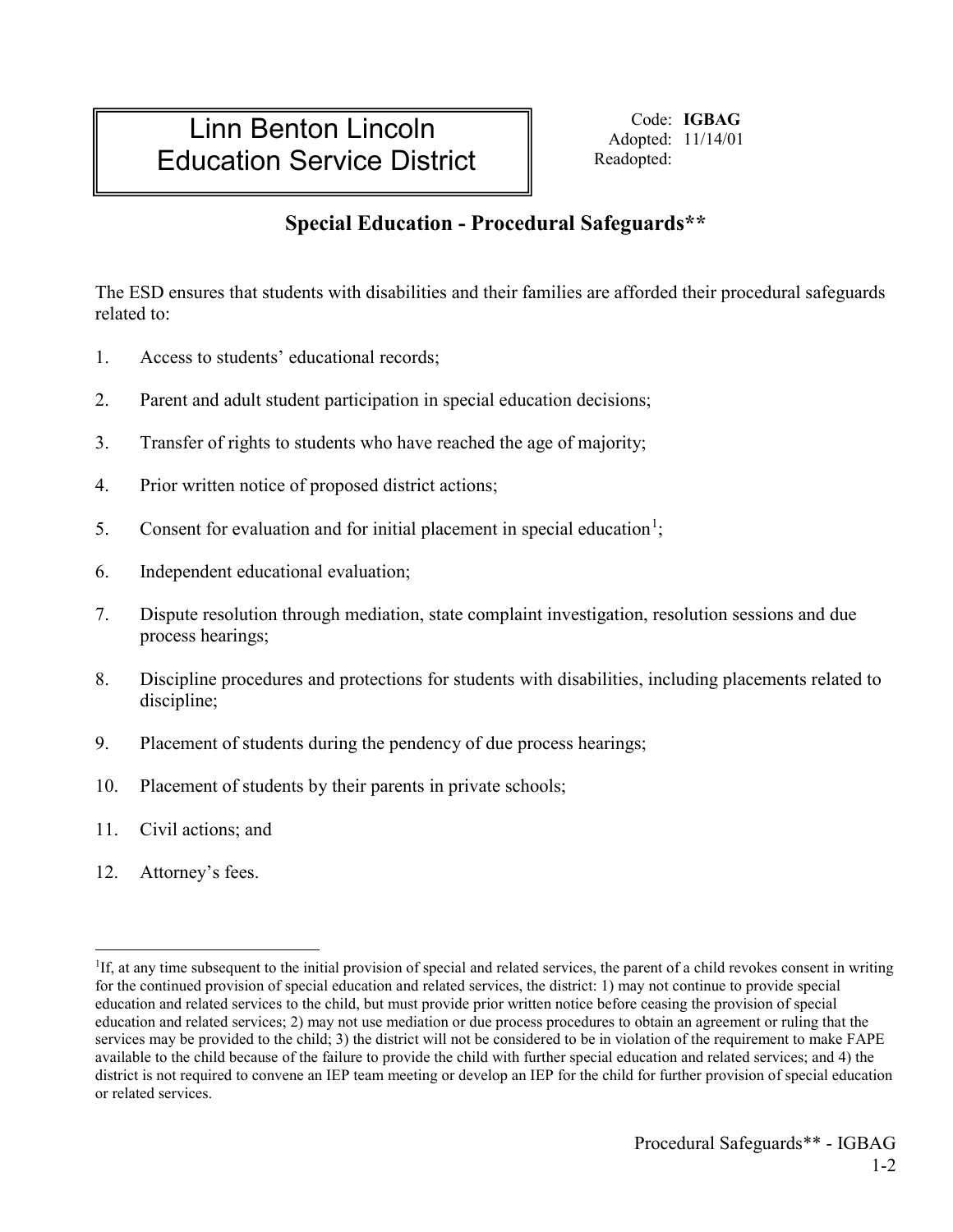## Linn Benton Lincoln Education Service District

Code: **IGBAG** Adopted: 11/14/01 Readopted:

## **Special Education - Procedural Safeguards\*\***

The ESD ensures that students with disabilities and their families are afforded their procedural safeguards related to:

- 1. Access to students' educational records;
- 2. Parent and adult student participation in special education decisions;
- 3. Transfer of rights to students who have reached the age of majority;
- 4. Prior written notice of proposed district actions;
- 5. Consent for evaluation and for initial placement in special education<sup>[1](#page-0-0)</sup>;
- 6. Independent educational evaluation;
- 7. Dispute resolution through mediation, state complaint investigation, resolution sessions and due process hearings;
- 8. Discipline procedures and protections for students with disabilities, including placements related to discipline;
- 9. Placement of students during the pendency of due process hearings;
- 10. Placement of students by their parents in private schools;
- 11. Civil actions; and
- 12. Attorney's fees.

<span id="page-0-0"></span> $\frac{1}{1}$ <sup>1</sup>If, at any time subsequent to the initial provision of special and related services, the parent of a child revokes consent in writing for the continued provision of special education and related services, the district: 1) may not continue to provide special education and related services to the child, but must provide prior written notice before ceasing the provision of special education and related services; 2) may not use mediation or due process procedures to obtain an agreement or ruling that the services may be provided to the child; 3) the district will not be considered to be in violation of the requirement to make FAPE available to the child because of the failure to provide the child with further special education and related services; and 4) the district is not required to convene an IEP team meeting or develop an IEP for the child for further provision of special education or related services.